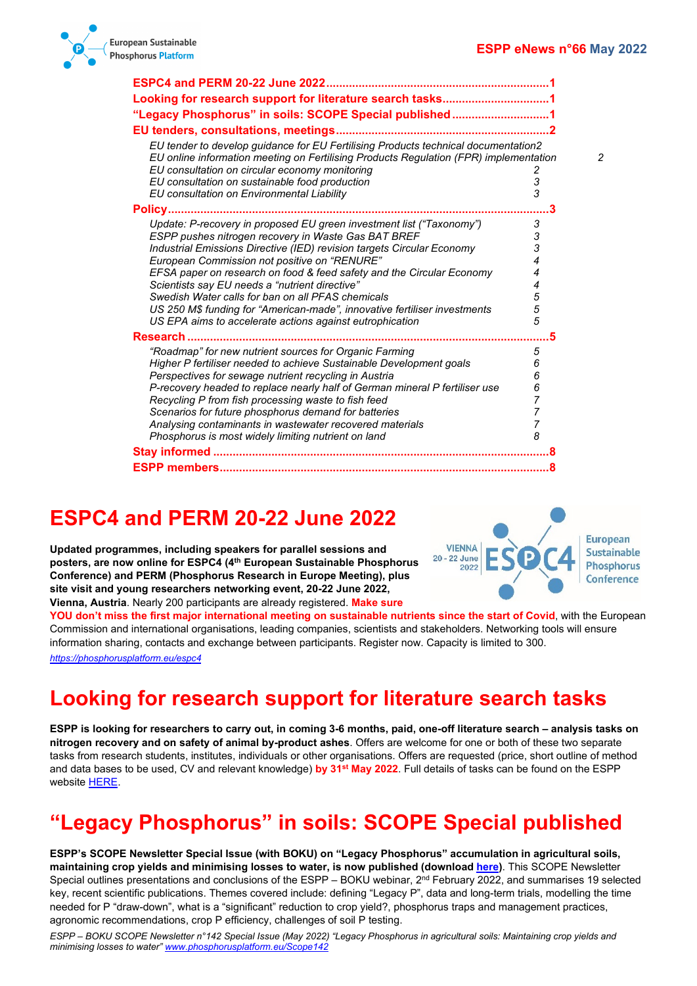

| Looking for research support for literature search tasks1                                                                                                                                                                                                                                                                                                                                                                                                                                                                                                                      |                                           |
|--------------------------------------------------------------------------------------------------------------------------------------------------------------------------------------------------------------------------------------------------------------------------------------------------------------------------------------------------------------------------------------------------------------------------------------------------------------------------------------------------------------------------------------------------------------------------------|-------------------------------------------|
| "Legacy Phosphorus" in soils: SCOPE Special published1                                                                                                                                                                                                                                                                                                                                                                                                                                                                                                                         |                                           |
|                                                                                                                                                                                                                                                                                                                                                                                                                                                                                                                                                                                |                                           |
| EU tender to develop guidance for EU Fertilising Products technical documentation2<br>EU online information meeting on Fertilising Products Regulation (FPR) implementation<br>EU consultation on circular economy monitoring<br>EU consultation on sustainable food production<br>EU consultation on Environmental Liability                                                                                                                                                                                                                                                  | 2<br>3<br>3                               |
| <b>Policy</b>                                                                                                                                                                                                                                                                                                                                                                                                                                                                                                                                                                  | 3                                         |
| Update: P-recovery in proposed EU green investment list ("Taxonomy")<br>ESPP pushes nitrogen recovery in Waste Gas BAT BREF<br>Industrial Emissions Directive (IED) revision targets Circular Economy<br>European Commission not positive on "RENURE"<br>EFSA paper on research on food & feed safety and the Circular Economy<br>Scientists say EU needs a "nutrient directive"<br>Swedish Water calls for ban on all PFAS chemicals<br>US 250 M\$ funding for "American-made", innovative fertiliser investments<br>US EPA aims to accelerate actions against eutrophication | 3<br>3<br>3<br>4<br>4<br>4<br>5<br>5<br>5 |
| Research.<br>"Roadmap" for new nutrient sources for Organic Farming<br>Higher P fertiliser needed to achieve Sustainable Development goals<br>Perspectives for sewage nutrient recycling in Austria<br>P-recovery headed to replace nearly half of German mineral P fertiliser use<br>Recycling P from fish processing waste to fish feed<br>Scenarios for future phosphorus demand for batteries<br>Analysing contaminants in wastewater recovered materials<br>Phosphorus is most widely limiting nutrient on land                                                           | 5<br>5<br>6<br>6<br>6<br>7<br>7<br>8      |
|                                                                                                                                                                                                                                                                                                                                                                                                                                                                                                                                                                                |                                           |
|                                                                                                                                                                                                                                                                                                                                                                                                                                                                                                                                                                                |                                           |

# <span id="page-0-0"></span>**ESPC4 and PERM 20-22 June 2022**

**Updated programmes, including speakers for parallel sessions and posters, are now online for ESPC4 (4th European Sustainable Phosphorus Conference) and PERM (Phosphorus Research in Europe Meeting), plus site visit and young researchers networking event, 20-22 June 2022, Vienna, Austria**. Nearly 200 participants are already registered. **Make sure** 



**YOU don't miss the first major international meeting on sustainable nutrients since the start of Covid**, with the European Commission and international organisations, leading companies, scientists and stakeholders. Networking tools will ensure information sharing, contacts and exchange between participants. Register now. Capacity is limited to 300.

*<https://phosphorusplatform.eu/espc4>*

# <span id="page-0-1"></span>**Looking for research support for literature search tasks**

**ESPP is looking for researchers to carry out, in coming 3-6 months, paid, one-off literature search – analysis tasks on nitrogen recovery and on safety of animal by-product ashes**. Offers are welcome for one or both of these two separate tasks from research students, institutes, individuals or other organisations. Offers are requested (price, short outline of method and data bases to be used, CV and relevant knowledge) **by 31st May 2022**. Full details of tasks can be found on the ESPP website [HERE.](https://www.phosphorusplatform.eu/callforresearch2022)

# <span id="page-0-2"></span>**"Legacy Phosphorus" in soils: SCOPE Special published**

**ESPP's SCOPE Newsletter Special Issue (with BOKU) on "Legacy Phosphorus" accumulation in agricultural soils, maintaining crop yields and minimising losses to water, is now published (download [here\)](https://www.phosphorusplatform.eu/Scope142)**. This SCOPE Newsletter Special outlines presentations and conclusions of the ESPP – BOKU webinar, 2<sup>nd</sup> February 2022, and summarises 19 selected key, recent scientific publications. Themes covered include: defining "Legacy P", data and long-term trials, modelling the time needed for P "draw-down", what is a "significant" reduction to crop yield?, phosphorus traps and management practices, agronomic recommendations, crop P efficiency, challenges of soil P testing.

*ESPP – BOKU SCOPE Newsletter n°142 Special Issue (May 2022) "Legacy Phosphorus in agricultural soils: Maintaining crop yields and minimising losses to water" [www.phosphorusplatform.eu/Scope142](http://www.phosphorusplatform.eu/Scope142)*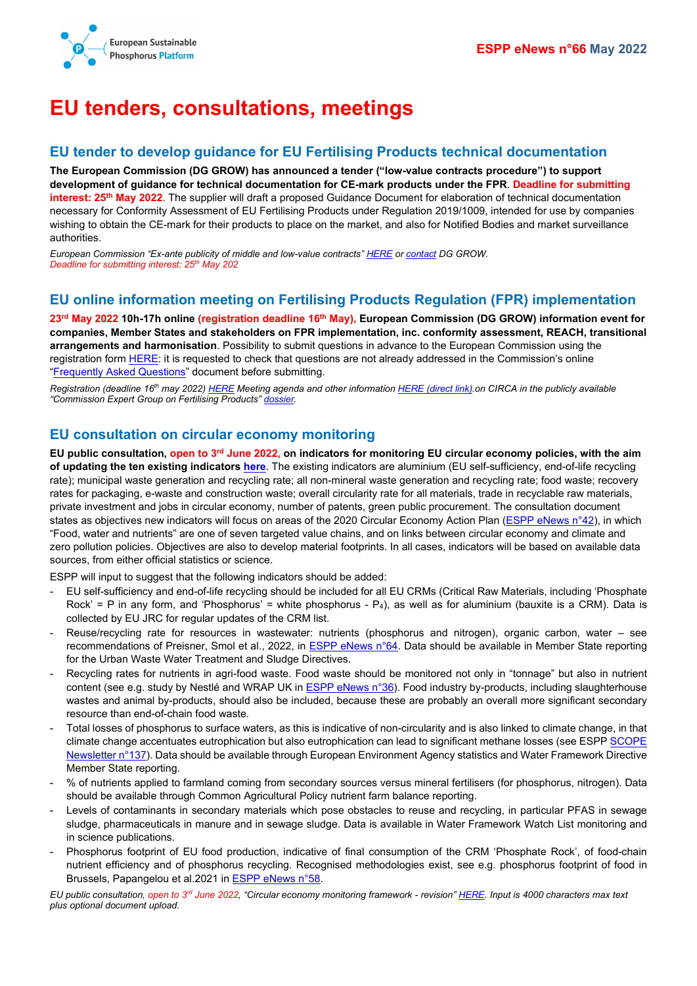

# <span id="page-1-0"></span>**EU tenders, consultations, meetings**

#### <span id="page-1-1"></span>**EU tender to develop guidance for EU Fertilising Products technical documentation**

**The European Commission (DG GROW) has announced a tender ("low-value contracts procedure") to support development of guidance for technical documentation for CE-mark products under the FPR**. **Deadline for submitting interest: 25th May 2022**. The supplier will draft a proposed Guidance Document for elaboration of technical documentation necessary for Conformity Assessment of EU Fertilising Products under Regulation 2019/1009, intended for use by companies wishing to obtain the CE-mark for their products to place on the market, and also for Notified Bodies and market surveillance authorities.

*European Commission "Ex-ante publicity of middle and low-value contracts" [HERE](https://ec.europa.eu/growth/low-value-contracts-procedures_en) o[r contact](mailto:GROW-FERTILISINGPRODUCTS@ec.europa.eu) DG GROW. Deadline for submitting interest: 25th May 202*

### <span id="page-1-2"></span>**EU online information meeting on Fertilising Products Regulation (FPR) implementation**

**23rd May 2022 10h-17h online (registration deadline 16th May), European Commission (DG GROW) information event for companies, Member States and stakeholders on FPR implementation, inc. conformity assessment, REACH, transitional arrangements and harmonisation**. Possibility to submit questions in advance to the European Commission using the registration form [HERE:](https://ec.europa.eu/info/law/better-regulation/have-your-say/initiatives/13174-Sustainable-EU-food-system-new-initiative_en) it is requested to check that questions are not already addressed in the Commission's online ["Frequently Asked Questions"](https://ec.europa.eu/docsroom/documents/48214) document before submitting.

*Registration (deadline 16th may 2022) [HERE](https://ec.europa.eu/eusurvey/runner/Event_EU_Fertilising_Products_How_to_CE_mark_your_products) Meeting agenda and other information [HERE \(direct link\).o](https://circabc.europa.eu/ui/group/36ec94c7-575b-44dc-a6e9-4ace02907f2f/library/e79063c3-996a-4ce7-86e6-8fe826f14753)n CIRCA in the publicly available "Commission Expert Group on Fertilising Products[" dossier.](https://circabc.europa.eu/ui/group/36ec94c7-575b-44dc-a6e9-4ace02907f2f/library/e79063c3-996a-4ce7-86e6-8fe826f14753)*

## <span id="page-1-3"></span>**EU consultation on circular economy monitoring**

**EU public consultation, open to 3rd June 2022, on indicators for monitoring EU circular economy policies, with the aim of updating the ten existing indicators [here](https://ec.europa.eu/eurostat/web/circular-economy/indicators/monitoring-framework)**. The existing indicators are aluminium (EU self-sufficiency, end-of-life recycling rate); municipal waste generation and recycling rate; all non-mineral waste generation and recycling rate; food waste; recovery rates for packaging, e-waste and construction waste; overall circularity rate for all materials, trade in recyclable raw materials, private investment and jobs in circular economy, number of patents, green public procurement. The consultation document states as objectives new indicators will focus on areas of the 2020 Circular Economy Action Plan [\(ESPP eNews n°42\)](http://www.phosphorusplatform.eu/eNews042), in which "Food, water and nutrients" are one of seven targeted value chains, and on links between circular economy and climate and zero pollution policies. Objectives are also to develop material footprints. In all cases, indicators will be based on available data sources, from either official statistics or science.

ESPP will input to suggest that the following indicators should be added:

- EU self-sufficiency and end-of-life recycling should be included for all EU CRMs (Critical Raw Materials, including 'Phosphate Rock' = P in any form, and 'Phosphorus' = white phosphorus -  $P_4$ ), as well as for aluminium (bauxite is a CRM). Data is collected by EU JRC for regular updates of the CRM list.
- Reuse/recycling rate for resources in wastewater: nutrients (phosphorus and nitrogen), organic carbon, water see recommendations of Preisner, Smol et al., 2022, in **ESPP eNews n°64**. Data should be available in Member State reporting for the Urban Waste Water Treatment and Sludge Directives.
- Recycling rates for nutrients in agri-food waste. Food waste should be monitored not only in "tonnage" but also in nutrient content (see e.g. study by Nestlé and WRAP UK i[n ESPP eNews n°36\)](http://www.phosphorusplatform.eu/eNews036). Food industry by-products, including slaughterhouse wastes and animal by-products, should also be included, because these are probably an overall more significant secondary resource than end-of-chain food waste.
- Total losses of phosphorus to surface waters, as this is indicative of non-circularity and is also linked to climate change, in that climate change accentuates eutrophication but also eutrophication can lead to significant methane losses (see ESP[P SCOPE](http://www.phosphorusplatform.eu/Scope137)  [Newsletter n°137\)](http://www.phosphorusplatform.eu/Scope137). Data should be available through European Environment Agency statistics and Water Framework Directive Member State reporting.
- % of nutrients applied to farmland coming from secondary sources versus mineral fertilisers (for phosphorus, nitrogen). Data should be available through Common Agricultural Policy nutrient farm balance reporting.
- Levels of contaminants in secondary materials which pose obstacles to reuse and recycling, in particular PFAS in sewage sludge, pharmaceuticals in manure and in sewage sludge. Data is available in Water Framework Watch List monitoring and in science publications.
- Phosphorus footprint of EU food production, indicative of final consumption of the CRM 'Phosphate Rock', of food-chain nutrient efficiency and of phosphorus recycling. Recognised methodologies exist, see e.g. phosphorus footprint of food in Brussels, Papangelou et al.2021 i[n ESPP eNews n°58.](http://www.phosphorusplatform.eu/eNews058)

*EU public consultation, open to 3rd June 2022, "Circular economy monitoring framework - revision[" HERE.](https://ec.europa.eu/info/law/better-regulation/have-your-say/initiatives/13465-Circular-economy-monitoring-framework-Revision_en) Input is 4000 characters max text plus optional document upload.*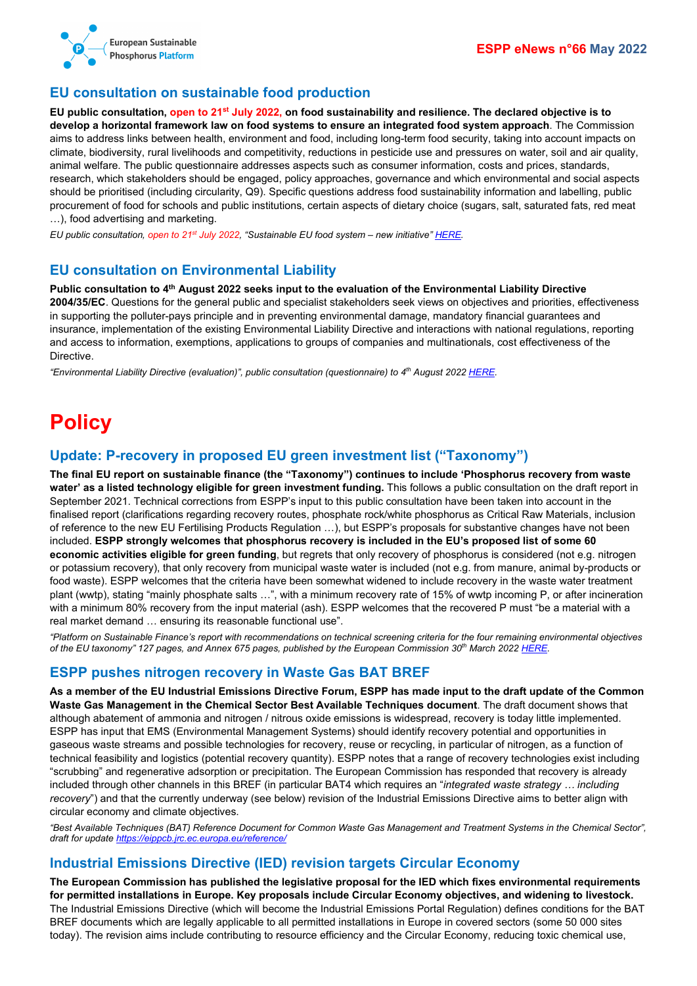

# <span id="page-2-0"></span>**EU consultation on sustainable food production**

**EU public consultation, open to 21st July 2022, on food sustainability and resilience. The declared objective is to develop a horizontal framework law on food systems to ensure an integrated food system approach**. The Commission aims to address links between health, environment and food, including long-term food security, taking into account impacts on climate, biodiversity, rural livelihoods and competitivity, reductions in pesticide use and pressures on water, soil and air quality, animal welfare. The public questionnaire addresses aspects such as consumer information, costs and prices, standards, research, which stakeholders should be engaged, policy approaches, governance and which environmental and social aspects should be prioritised (including circularity, Q9). Specific questions address food sustainability information and labelling, public procurement of food for schools and public institutions, certain aspects of dietary choice (sugars, salt, saturated fats, red meat …), food advertising and marketing.

*EU public consultation, open to 21st July 2022, "Sustainable EU food system – new initiative[" HERE.](https://ec.europa.eu/info/law/better-regulation/have-your-say/initiatives/13174-Sustainable-EU-food-system-new-initiative_en)*

## <span id="page-2-1"></span>**EU consultation on Environmental Liability**

**Public consultation to 4th August 2022 seeks input to the evaluation of the Environmental Liability Directive 2004/35/EC**. Questions for the general public and specialist stakeholders seek views on objectives and priorities, effectiveness in supporting the polluter-pays principle and in preventing environmental damage, mandatory financial guarantees and insurance, implementation of the existing Environmental Liability Directive and interactions with national regulations, reporting and access to information, exemptions, applications to groups of companies and multinationals, cost effectiveness of the Directive.

*"Environmental Liability Directive (evaluation)", public consultation (questionnaire) to 4th August 202[2 HERE.](https://ec.europa.eu/info/law/better-regulation/have-your-say/initiatives/13251-Directive-sur-la-responsabilite-environnementale-evaluation-/public-consultation_en)*

# <span id="page-2-2"></span>**Policy**

## <span id="page-2-3"></span>**Update: P-recovery in proposed EU green investment list ("Taxonomy")**

**The final EU report on sustainable finance (the "Taxonomy") continues to include 'Phosphorus recovery from waste water' as a listed technology eligible for green investment funding.** This follows a public consultation on the draft report in September 2021. Technical corrections from ESPP's input to this public consultation have been taken into account in the finalised report (clarifications regarding recovery routes, phosphate rock/white phosphorus as Critical Raw Materials, inclusion of reference to the new EU Fertilising Products Regulation …), but ESPP's proposals for substantive changes have not been included. **ESPP strongly welcomes that phosphorus recovery is included in the EU's proposed list of some 60 economic activities eligible for green funding**, but regrets that only recovery of phosphorus is considered (not e.g. nitrogen or potassium recovery), that only recovery from municipal waste water is included (not e.g. from manure, animal by-products or food waste). ESPP welcomes that the criteria have been somewhat widened to include recovery in the waste water treatment plant (wwtp), stating "mainly phosphate salts …", with a minimum recovery rate of 15% of wwtp incoming P, or after incineration with a minimum 80% recovery from the input material (ash). ESPP welcomes that the recovered P must "be a material with a real market demand … ensuring its reasonable functional use".

*"Platform on Sustainable Finance's report with recommendations on technical screening criteria for the four remaining environmental objectives of the EU taxonomy" 127 pages, and Annex 675 pages, published by the European Commission 30th March 202[2 HERE.](https://ec.europa.eu/info/business-economy-euro/banking-and-finance/sustainable-finance/overview-sustainable-finance/platform-sustainable-finance_en#activities)*

#### <span id="page-2-4"></span>**ESPP pushes nitrogen recovery in Waste Gas BAT BREF**

**As a member of the EU Industrial Emissions Directive Forum, ESPP has made input to the draft update of the Common Waste Gas Management in the Chemical Sector Best Available Techniques document**. The draft document shows that although abatement of ammonia and nitrogen / nitrous oxide emissions is widespread, recovery is today little implemented. ESPP has input that EMS (Environmental Management Systems) should identify recovery potential and opportunities in gaseous waste streams and possible technologies for recovery, reuse or recycling, in particular of nitrogen, as a function of technical feasibility and logistics (potential recovery quantity). ESPP notes that a range of recovery technologies exist including "scrubbing" and regenerative adsorption or precipitation. The European Commission has responded that recovery is already included through other channels in this BREF (in particular BAT4 which requires an "*integrated waste strategy … including recovery*") and that the currently underway (see below) revision of the Industrial Emissions Directive aims to better align with circular economy and climate objectives.

*"Best Available Techniques (BAT) Reference Document for Common Waste Gas Management and Treatment Systems in the Chemical Sector", draft for update<https://eippcb.jrc.ec.europa.eu/reference/>*

## <span id="page-2-5"></span>**Industrial Emissions Directive (IED) revision targets Circular Economy**

**The European Commission has published the legislative proposal for the IED which fixes environmental requirements for permitted installations in Europe. Key proposals include Circular Economy objectives, and widening to livestock.**  The Industrial Emissions Directive (which will become the Industrial Emissions Portal Regulation) defines conditions for the BAT BREF documents which are legally applicable to all permitted installations in Europe in covered sectors (some 50 000 sites today). The revision aims include contributing to resource efficiency and the Circular Economy, reducing toxic chemical use,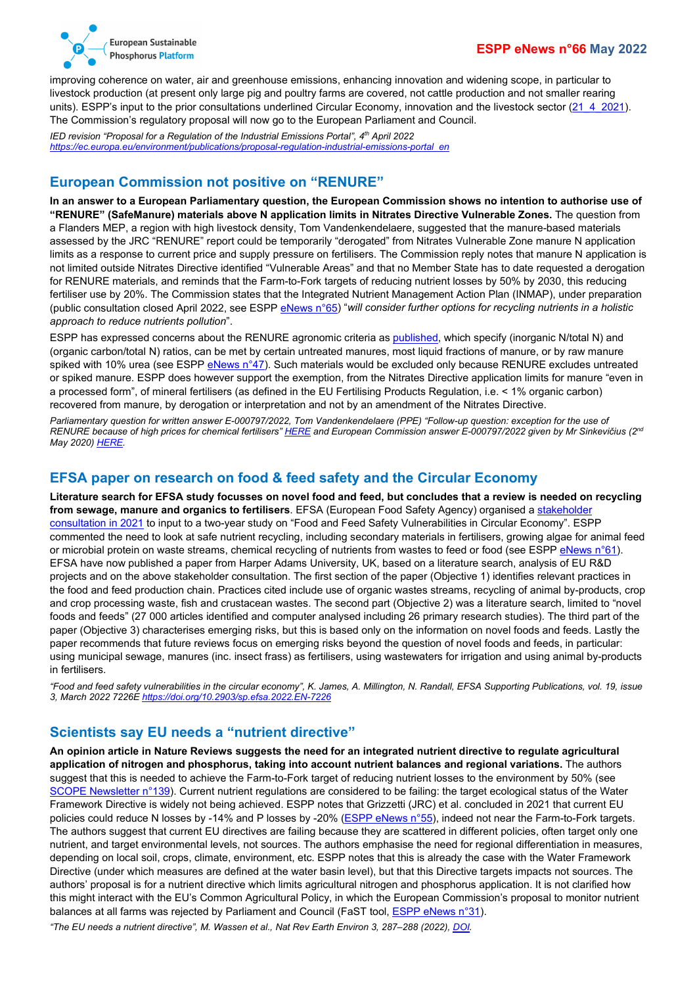

improving coherence on water, air and greenhouse emissions, enhancing innovation and widening scope, in particular to livestock production (at present only large pig and poultry farms are covered, not cattle production and not smaller rearing units). ESPP's input to the prior consultations underlined Circular Economy, innovation and the livestock sector  $(21\;4\;2021)$ . The Commission's regulatory proposal will now go to the European Parliament and Council.

*IED revision "Proposal for a Regulation of the Industrial Emissions Portal", 4th April 2022 [https://ec.europa.eu/environment/publications/proposal-regulation-industrial-emissions-portal\\_en](https://ec.europa.eu/environment/publications/proposal-regulation-industrial-emissions-portal_en)*

#### <span id="page-3-0"></span>**European Commission not positive on "RENURE"**

**In an answer to a European Parliamentary question, the European Commission shows no intention to authorise use of "RENURE" (SafeManure) materials above N application limits in Nitrates Directive Vulnerable Zones.** The question from a Flanders MEP, a region with high livestock density, Tom Vandenkendelaere, suggested that the manure-based materials assessed by the JRC "RENURE" report could be temporarily "derogated" from Nitrates Vulnerable Zone manure N application limits as a response to current price and supply pressure on fertilisers. The Commission reply notes that manure N application is not limited outside Nitrates Directive identified "Vulnerable Areas" and that no Member State has to date requested a derogation for RENURE materials, and reminds that the Farm-to-Fork targets of reducing nutrient losses by 50% by 2030, this reducing fertiliser use by 20%. The Commission states that the Integrated Nutrient Management Action Plan (INMAP), under preparation (public consultation closed April 2022, see ESP[P eNews n°65\)](http://www.phosphorusplatform.eu/eNews065) "*will consider further options for recycling nutrients in a holistic approach to reduce nutrients pollution*".

ESPP has expressed concerns about the RENURE agronomic criteria a[s published,](https://publications.jrc.ec.europa.eu/repository/handle/JRC121636) which specify (inorganic N/total N) and (organic carbon/total N) ratios, can be met by certain untreated manures, most liquid fractions of manure, or by raw manure spiked with 10% urea (see ESPP [eNews n°47\)](http://www.phosphorusplatform.eu/eNews047). Such materials would be excluded only because RENURE excludes untreated or spiked manure. ESPP does however support the exemption, from the Nitrates Directive application limits for manure "even in a processed form", of mineral fertilisers (as defined in the EU Fertilising Products Regulation, i.e. < 1% organic carbon) recovered from manure, by derogation or interpretation and not by an amendment of the Nitrates Directive.

*Parliamentary question for written answer E-000797/2022, Tom Vandenkendelaere (PPE) "Follow-up question: exception for the use of RENURE because of high prices for chemical fertilisers" [HERE](https://www.europarl.europa.eu/doceo/document/E-9-2022-000797_EN.html) and European Commission answer E-000797/2022 given by Mr Sinkevičius (2nd May 2020[\) HERE.](https://www.europarl.europa.eu/doceo/document/E-9-2022-000797-ASW_EN.html)*

#### <span id="page-3-1"></span>**EFSA paper on research on food & feed safety and the Circular Economy**

**Literature search for EFSA study focusses on novel food and feed, but concludes that a review is needed on recycling from sewage, manure and organics to fertilisers**. EFSA (European Food Safety Agency) organised a [stakeholder](https://www.efsa.europa.eu/en/events/stakeholder-workshop-food-and-feed-safety-vulnerabilities-circular-economy)  [consultation in 2021](https://www.efsa.europa.eu/en/events/stakeholder-workshop-food-and-feed-safety-vulnerabilities-circular-economy) to input to a two-year study on "Food and Feed Safety Vulnerabilities in Circular Economy". ESPP commented the need to look at safe nutrient recycling, including secondary materials in fertilisers, growing algae for animal feed or microbial protein on waste streams, chemical recycling of nutrients from wastes to feed or food (see ESPP [eNews n°61\)](http://www.phosphorusplatform.eu/eNews061). EFSA have now published a paper from Harper Adams University, UK, based on a literature search, analysis of EU R&D projects and on the above stakeholder consultation. The first section of the paper (Objective 1) identifies relevant practices in the food and feed production chain. Practices cited include use of organic wastes streams, recycling of animal by-products, crop and crop processing waste, fish and crustacean wastes. The second part (Objective 2) was a literature search, limited to "novel foods and feeds" (27 000 articles identified and computer analysed including 26 primary research studies). The third part of the paper (Objective 3) characterises emerging risks, but this is based only on the information on novel foods and feeds. Lastly the paper recommends that future reviews focus on emerging risks beyond the question of novel foods and feeds, in particular: using municipal sewage, manures (inc. insect frass) as fertilisers, using wastewaters for irrigation and using animal by-products in fertilisers.

*"Food and feed safety vulnerabilities in the circular economy", K. James, A. Millington, N. Randall, EFSA Supporting Publications, vol. 19, issue 3, March 2022 7226[E https://doi.org/10.2903/sp.efsa.2022.EN-7226](https://doi.org/10.2903/sp.efsa.2022.EN-7226)*

#### <span id="page-3-2"></span>**Scientists say EU needs a "nutrient directive"**

**An opinion article in Nature Reviews suggests the need for an integrated nutrient directive to regulate agricultural application of nitrogen and phosphorus, taking into account nutrient balances and regional variations.** The authors suggest that this is needed to achieve the Farm-to-Fork target of reducing nutrient losses to the environment by 50% (see [SCOPE Newsletter n°139\)](http://www.phosphorusplatform.eu/Scope139). Current nutrient regulations are considered to be failing: the target ecological status of the Water Framework Directive is widely not being achieved. ESPP notes that Grizzetti (JRC) et al. concluded in 2021 that current EU policies could reduce N losses by -14% and P losses by -20% [\(ESPP eNews n°55\)](http://www.phosphorusplatform.eu/eNews055), indeed not near the Farm-to-Fork targets. The authors suggest that current EU directives are failing because they are scattered in different policies, often target only one nutrient, and target environmental levels, not sources. The authors emphasise the need for regional differentiation in measures, depending on local soil, crops, climate, environment, etc. ESPP notes that this is already the case with the Water Framework Directive (under which measures are defined at the water basin level), but that this Directive targets impacts not sources. The authors' proposal is for a nutrient directive which limits agricultural nitrogen and phosphorus application. It is not clarified how this might interact with the EU's Common Agricultural Policy, in which the European Commission's proposal to monitor nutrient balances at all farms was rejected by Parliament and Council (FaST tool, [ESPP eNews n°31\)](http://www.phosphorusplatform.eu/eNews031).

*"The EU needs a nutrient directive", M. Wassen et al., Nat Rev Earth Environ 3, 287–288 (2022)[, DOI.](https://doi.org/10.1038/)*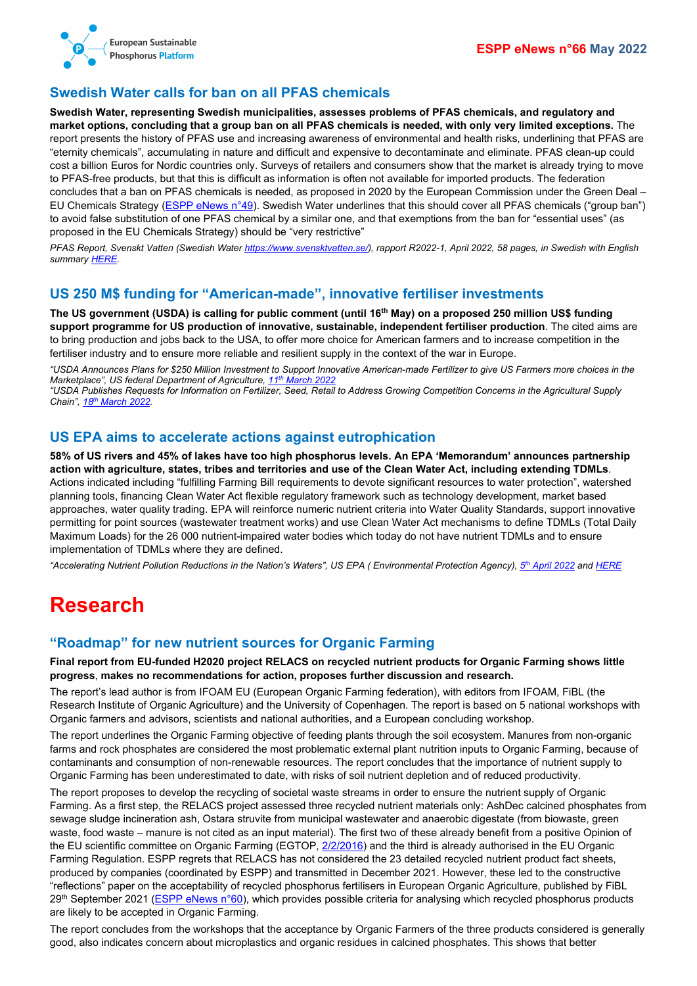

## <span id="page-4-0"></span>**Swedish Water calls for ban on all PFAS chemicals**

**Swedish Water, representing Swedish municipalities, assesses problems of PFAS chemicals, and regulatory and market options, concluding that a group ban on all PFAS chemicals is needed, with only very limited exceptions.** The report presents the history of PFAS use and increasing awareness of environmental and health risks, underlining that PFAS are "eternity chemicals", accumulating in nature and difficult and expensive to decontaminate and eliminate. PFAS clean-up could cost a billion Euros for Nordic countries only. Surveys of retailers and consumers show that the market is already trying to move to PFAS-free products, but that this is difficult as information is often not available for imported products. The federation concludes that a ban on PFAS chemicals is needed, as proposed in 2020 by the European Commission under the Green Deal – EU Chemicals Strategy [\(ESPP eNews n°49\)](http://www.phosphorusplatform.eu/eNews049). Swedish Water underlines that this should cover all PFAS chemicals ("group ban") to avoid false substitution of one PFAS chemical by a similar one, and that exemptions from the ban for "essential uses" (as proposed in the EU Chemicals Strategy) should be "very restrictive"

*PFAS Report, Svenskt Vatten (Swedish Water [https://www.svensktvatten.se/\)](https://www.svensktvatten.se/), rapport R2022-1, April 2022, 58 pages, in Swedish with English summar[y HERE.](https://www.eureau.org/resources/publications/member-publications/6384-svenskt-vatten-report-on-pfas/file)*

#### <span id="page-4-1"></span>**US 250 M\$ funding for "American-made", innovative fertiliser investments**

**The US government (USDA) is calling for public comment (until 16th May) on a proposed 250 million US\$ funding support programme for US production of innovative, sustainable, independent fertiliser production**. The cited aims are to bring production and jobs back to the USA, to offer more choice for American farmers and to increase competition in the fertiliser industry and to ensure more reliable and resilient supply in the context of the war in Europe.

*"USDA Announces Plans for \$250 Million Investment to Support Innovative American-made Fertilizer to give US Farmers more choices in the Marketplace", US federal Department of Agriculture, 11th [March 2022](https://www.usda.gov/media/press-releases/2022/03/11/usda-announces-plans-250-million-investment-support-innovative)*

*"USDA Publishes Requests for Information on Fertilizer, Seed, Retail to Address Growing Competition Concerns in the Agricultural Supply Chain", 18th [March 2022.](https://www.ams.usda.gov/content/usda-publishes-requests-information-fertilizer-seed-retail-address-growing-competition)*

#### <span id="page-4-2"></span>**US EPA aims to accelerate actions against eutrophication**

**58% of US rivers and 45% of lakes have too high phosphorus levels. An EPA 'Memorandum' announces partnership action with agriculture, states, tribes and territories and use of the Clean Water Act, including extending TDMLs**. Actions indicated including "fulfilling Farming Bill requirements to devote significant resources to water protection", watershed planning tools, financing Clean Water Act flexible regulatory framework such as technology development, market based approaches, water quality trading. EPA will reinforce numeric nutrient criteria into Water Quality Standards, support innovative permitting for point sources (wastewater treatment works) and use Clean Water Act mechanisms to define TDMLs (Total Daily Maximum Loads) for the 26 000 nutrient-impaired water bodies which today do not have nutrient TDMLs and to ensure implementation of TDMLs where they are defined.

*"Accelerating Nutrient Pollution Reductions in the Nation's Waters", US EPA ( Environmental Protection Agency), 5th [April 2022](https://www.epa.gov/system/files/documents/2022-04/accelerating-nutrient-reductions-4-2022.pdf) an[d HERE](https://www.epa.gov/nutrient-policy-data/2022-epa-nutrient-reduction-memorandum)*

# <span id="page-4-3"></span>**Research**

#### <span id="page-4-4"></span>**"Roadmap" for new nutrient sources for Organic Farming**

**Final report from EU-funded H2020 project RELACS on recycled nutrient products for Organic Farming shows little progress**, **makes no recommendations for action, proposes further discussion and research.**

The report's lead author is from IFOAM EU (European Organic Farming federation), with editors from IFOAM, FiBL (the Research Institute of Organic Agriculture) and the University of Copenhagen. The report is based on 5 national workshops with Organic farmers and advisors, scientists and national authorities, and a European concluding workshop.

The report underlines the Organic Farming objective of feeding plants through the soil ecosystem. Manures from non-organic farms and rock phosphates are considered the most problematic external plant nutrition inputs to Organic Farming, because of contaminants and consumption of non-renewable resources. The report concludes that the importance of nutrient supply to Organic Farming has been underestimated to date, with risks of soil nutrient depletion and of reduced productivity.

The report proposes to develop the recycling of societal waste streams in order to ensure the nutrient supply of Organic Farming. As a first step, the RELACS project assessed three recycled nutrient materials only: AshDec calcined phosphates from sewage sludge incineration ash, Ostara struvite from municipal wastewater and anaerobic digestate (from biowaste, green waste, food waste – manure is not cited as an input material). The first two of these already benefit from a positive Opinion of the EU scientific committee on Organic Farming (EGTOP, [2/2/2016\)](https://ec.europa.eu/agriculture/organic/eu-policy/expert-advice/documents/final-reports/final-report-egtop-on-fertilizers-2_en.pdf) and the third is already authorised in the EU Organic Farming Regulation. ESPP regrets that RELACS has not considered the 23 detailed recycled nutrient product fact sheets, produced by companies (coordinated by ESPP) and transmitted in December 2021. However, these led to the constructive "reflections" paper on the acceptability of recycled phosphorus fertilisers in European Organic Agriculture, published by FiBL 29<sup>th</sup> September 2021 [\(ESPP eNews n°60\)](http://www.phosphorusplatform.eu/eNews060), which provides possible criteria for analysing which recycled phosphorus products are likely to be accepted in Organic Farming.

The report concludes from the workshops that the acceptance by Organic Farmers of the three products considered is generally good, also indicates concern about microplastics and organic residues in calcined phosphates. This shows that better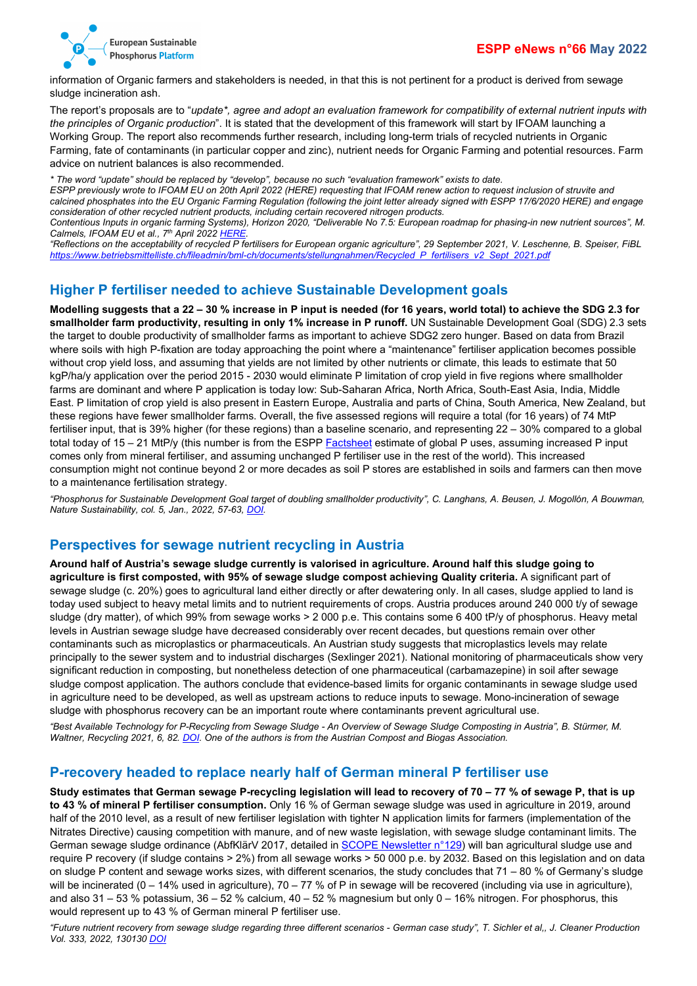

information of Organic farmers and stakeholders is needed, in that this is not pertinent for a product is derived from sewage sludge incineration ash.

The report's proposals are to "*update\*, agree and adopt an evaluation framework for compatibility of external nutrient inputs with the principles of Organic production*". It is stated that the development of this framework will start by IFOAM launching a Working Group. The report also recommends further research, including long-term trials of recycled nutrients in Organic Farming, fate of contaminants (in particular copper and zinc), nutrient needs for Organic Farming and potential resources. Farm advice on nutrient balances is also recommended.

*\* The word "update" should be replaced by "develop", because no such "evaluation framework" exists to date.*

*ESPP previously wrote to IFOAM EU on 20th April 2022 (HERE) requesting that IFOAM renew action to request inclusion of struvite and calcined phosphates into the EU Organic Farming Regulation (following the joint letter already signed with ESPP 17/6/2020 HERE) and engage consideration of other recycled nutrient products, including certain recovered nitrogen products.*

*Contentious Inputs in organic farming Systems), Horizon 2020, "Deliverable No 7.5: European roadmap for phasing-in new nutrient sources", M. Calmels, IFOAM EU et al., 7th April 202[2 HERE.](https://relacs-project.eu/wp-content/uploads/2022/04/RELACS_D7.5_European_roadmap_Nutrients_202204_final.pdf)*

*"Reflections on the acceptability of recycled P fertilisers for European organic agriculture", 29 September 2021, V. Leschenne, B. Speiser, FiBL [https://www.betriebsmittelliste.ch/fileadmin/bml-ch/documents/stellungnahmen/Recycled\\_P\\_fertilisers\\_v2\\_Sept\\_2021.pdf](https://www.betriebsmittelliste.ch/fileadmin/bml-ch/documents/stellungnahmen/Recycled_P_fertilisers_v2_Sept_2021.pdf)*

#### <span id="page-5-0"></span>**Higher P fertiliser needed to achieve Sustainable Development goals**

**Modelling suggests that a 22 – 30 % increase in P input is needed (for 16 years, world total) to achieve the SDG 2.3 for smallholder farm productivity, resulting in only 1% increase in P runoff.** UN Sustainable Development Goal (SDG) 2.3 sets the target to double productivity of smallholder farms as important to achieve SDG2 zero hunger. Based on data from Brazil where soils with high P-fixation are today approaching the point where a "maintenance" fertiliser application becomes possible without crop yield loss, and assuming that yields are not limited by other nutrients or climate, this leads to estimate that 50 kgP/ha/y application over the period 2015 - 2030 would eliminate P limitation of crop yield in five regions where smallholder farms are dominant and where P application is today low: Sub-Saharan Africa, North Africa, South-East Asia, India, Middle East. P limitation of crop yield is also present in Eastern Europe, Australia and parts of China, South America, New Zealand, but these regions have fewer smallholder farms. Overall, the five assessed regions will require a total (for 16 years) of 74 MtP fertiliser input, that is 39% higher (for these regions) than a baseline scenario, and representing 22 – 30% compared to a global total today of 15 – 21 MtP/y (this number is from the ESPP [Factsheet](http://www.phosphorusplatform.eu/factsheet) estimate of global P uses, assuming increased P input comes only from mineral fertiliser, and assuming unchanged P fertiliser use in the rest of the world). This increased consumption might not continue beyond 2 or more decades as soil P stores are established in soils and farmers can then move to a maintenance fertilisation strategy.

*"Phosphorus for Sustainable Development Goal target of doubling smallholder productivity", C. Langhans, A. Beusen, J. Mogollón, A Bouwman, Nature Sustainability, col. 5, Jan., 2022, 57-63[, DOI.](https://doi.org/10.1038/s41893-021-00794-4)*

#### <span id="page-5-1"></span>**Perspectives for sewage nutrient recycling in Austria**

**Around half of Austria's sewage sludge currently is valorised in agriculture. Around half this sludge going to agriculture is first composted, with 95% of sewage sludge compost achieving Quality criteria.** A significant part of sewage sludge (c. 20%) goes to agricultural land either directly or after dewatering only. In all cases, sludge applied to land is today used subject to heavy metal limits and to nutrient requirements of crops. Austria produces around 240 000 t/y of sewage sludge (dry matter), of which 99% from sewage works > 2 000 p.e. This contains some 6 400 tP/y of phosphorus. Heavy metal levels in Austrian sewage sludge have decreased considerably over recent decades, but questions remain over other contaminants such as microplastics or pharmaceuticals. An Austrian study suggests that microplastics levels may relate principally to the sewer system and to industrial discharges (Sexlinger 2021). National monitoring of pharmaceuticals show very significant reduction in composting, but nonetheless detection of one pharmaceutical (carbamazepine) in soil after sewage sludge compost application. The authors conclude that evidence-based limits for organic contaminants in sewage sludge used in agriculture need to be developed, as well as upstream actions to reduce inputs to sewage. Mono-incineration of sewage sludge with phosphorus recovery can be an important route where contaminants prevent agricultural use.

*"Best Available Technology for P-Recycling from Sewage Sludge - An Overview of Sewage Sludge Composting in Austria", B. Stürmer, M. Waltner, Recycling 2021, 6, 82. [DOI.](https://doi.org/10.3390/recycling6040082) One of the authors is from the Austrian Compost and Biogas Association.*

#### <span id="page-5-2"></span>**P-recovery headed to replace nearly half of German mineral P fertiliser use**

**Study estimates that German sewage P-recycling legislation will lead to recovery of 70 – 77 % of sewage P, that is up to 43 % of mineral P fertiliser consumption.** Only 16 % of German sewage sludge was used in agriculture in 2019, around half of the 2010 level, as a result of new fertiliser legislation with tighter N application limits for farmers (implementation of the Nitrates Directive) causing competition with manure, and of new waste legislation, with sewage sludge contaminant limits. The German sewage sludge ordinance (AbfKlärV 2017, detailed in [SCOPE Newsletter n°129\)](http://www.phosphorusplatform.eu/Scope129) will ban agricultural sludge use and require P recovery (if sludge contains > 2%) from all sewage works > 50 000 p.e. by 2032. Based on this legislation and on data on sludge P content and sewage works sizes, with different scenarios, the study concludes that 71 – 80 % of Germany's sludge will be incinerated (0 – 14% used in agriculture), 70 – 77 % of P in sewage will be recovered (including via use in agriculture), and also 31 – 53 % potassium, 36 – 52 % calcium, 40 – 52 % magnesium but only 0 – 16% nitrogen. For phosphorus, this would represent up to 43 % of German mineral P fertiliser use.

*"Future nutrient recovery from sewage sludge regarding three different scenarios - German case study", T. Sichler et al,, J. Cleaner Production Vol. 333, 2022, 130130 [DOI](https://doi.org/10.1016/j.jclepro.2021.130130)*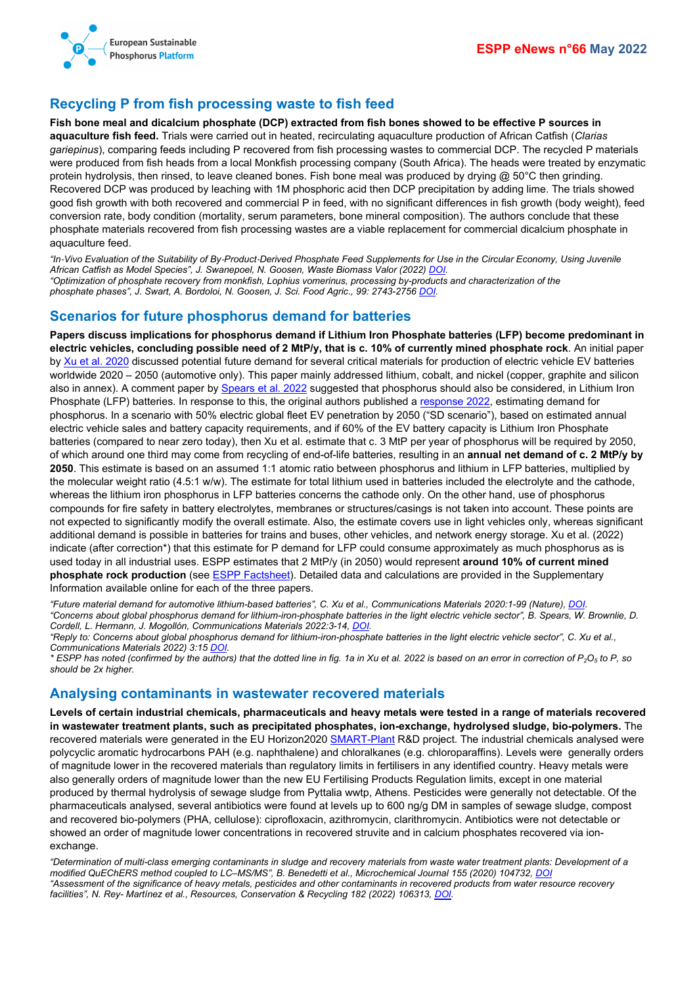

### <span id="page-6-0"></span>**Recycling P from fish processing waste to fish feed**

**Fish bone meal and dicalcium phosphate (DCP) extracted from fish bones showed to be effective P sources in aquaculture fish feed.** Trials were carried out in heated, recirculating aquaculture production of African Catfish (*Clarias gariepinus*), comparing feeds including P recovered from fish processing wastes to commercial DCP. The recycled P materials were produced from fish heads from a local Monkfish processing company (South Africa). The heads were treated by enzymatic protein hydrolysis, then rinsed, to leave cleaned bones. Fish bone meal was produced by drying  $@$  50°C then grinding. Recovered DCP was produced by leaching with 1M phosphoric acid then DCP precipitation by adding lime. The trials showed good fish growth with both recovered and commercial P in feed, with no significant differences in fish growth (body weight), feed conversion rate, body condition (mortality, serum parameters, bone mineral composition). The authors conclude that these phosphate materials recovered from fish processing wastes are a viable replacement for commercial dicalcium phosphate in aquaculture feed.

*"In*‑*Vivo Evaluation of the Suitability of By*‑*Product*‑*Derived Phosphate Feed Supplements for Use in the Circular Economy, Using Juvenile African Catfish as Model Species", J. Swanepoel, N. Goosen, Waste Biomass Valor (2022) [DOI.](https://doi.org/10.1007/s12649-022-01781-2) "Optimization of phosphate recovery from monkfish, Lophius vomerinus, processing by-products and characterization of the phosphate phases", J. Swart, A. Bordoloi, N. Goosen, J. Sci. Food Agric., 99: 2743-2756 [DOI.](https://doi.org/10.1002/jsfa.9450)*

### <span id="page-6-1"></span>**Scenarios for future phosphorus demand for batteries**

**Papers discuss implications for phosphorus demand if Lithium Iron Phosphate batteries (LFP) become predominant in electric vehicles, concluding possible need of 2 MtP/y, that is c. 10% of currently mined phosphate rock**. An initial paper b[y Xu et al. 2020](https://doi.org/10.1038/s43246-020-00095-x) discussed potential future demand for several critical materials for production of electric vehicle EV batteries worldwide 2020 – 2050 (automotive only). This paper mainly addressed lithium, cobalt, and nickel (copper, graphite and silicon also in annex). A comment paper by [Spears et al. 2022](https://doi.org/10.1038/s43246-020-00095-x) suggested that phosphorus should also be considered, in Lithium Iron Phosphate (LFP) batteries. In response to this, the original authors published [a response](https://doi.org/10.1038/s43246-022-00237-3) 2022, estimating demand for phosphorus. In a scenario with 50% electric global fleet EV penetration by 2050 ("SD scenario"), based on estimated annual electric vehicle sales and battery capacity requirements, and if 60% of the EV battery capacity is Lithium Iron Phosphate batteries (compared to near zero today), then Xu et al. estimate that c. 3 MtP per year of phosphorus will be required by 2050, of which around one third may come from recycling of end-of-life batteries, resulting in an **annual net demand of c. 2 MtP/y by 2050**. This estimate is based on an assumed 1:1 atomic ratio between phosphorus and lithium in LFP batteries, multiplied by the molecular weight ratio (4.5:1 w/w). The estimate for total lithium used in batteries included the electrolyte and the cathode, whereas the lithium iron phosphorus in LFP batteries concerns the cathode only. On the other hand, use of phosphorus compounds for fire safety in battery electrolytes, membranes or structures/casings is not taken into account. These points are not expected to significantly modify the overall estimate. Also, the estimate covers use in light vehicles only, whereas significant additional demand is possible in batteries for trains and buses, other vehicles, and network energy storage. Xu et al. (2022) indicate (after correction\*) that this estimate for P demand for LFP could consume approximately as much phosphorus as is used today in all industrial uses. ESPP estimates that 2 MtP/y (in 2050) would represent **around 10% of current mined phosphate rock production** (se[e ESPP Factsheet\)](http://www.phosphorusplatform.eu/factsheet). Detailed data and calculations are provided in the Supplementary Information available online for each of the three papers.

*"Future material demand for automotive lithium-based batteries", C. Xu et al., Communications Materials 2020:1-99 (Nature)[, DOI.](https://doi.org/10.1038/s43246-020-00095-x) "Concerns about global phosphorus demand for lithium-iron-phosphate batteries in the light electric vehicle sector", B. Spears, W. Brownlie, D. Cordell, L. Hermann, J. Mogollón, Communications Materials 2022:3-14, [DOI.](https://doi.org/10.1038/s43246-020-00095-x)*

*"Reply to: Concerns about global phosphorus demand for lithium-iron-phosphate batteries in the light electric vehicle sector", C. Xu et al., Communications Materials 2022) 3:1[5 DOI.](https://doi.org/10.1038/s43246-022-00237-3)*

*\* ESPP has noted (confirmed by the authors) that the dotted line in fig. 1a in Xu et al. 2022 is based on an error in correction of P2O5 to P, so should be 2x higher.*

#### <span id="page-6-2"></span>**Analysing contaminants in wastewater recovered materials**

**Levels of certain industrial chemicals, pharmaceuticals and heavy metals were tested in a range of materials recovered in wastewater treatment plants, such as precipitated phosphates, ion-exchange, hydrolysed sludge, bio-polymers.** The recovered materials were generated in the EU Horizon2020 [SMART-Plant](https://www.smart-plant.eu/) R&D project. The industrial chemicals analysed were polycyclic aromatic hydrocarbons PAH (e.g. naphthalene) and chloralkanes (e.g. chloroparaffins). Levels were generally orders of magnitude lower in the recovered materials than regulatory limits in fertilisers in any identified country. Heavy metals were also generally orders of magnitude lower than the new EU Fertilising Products Regulation limits, except in one material produced by thermal hydrolysis of sewage sludge from Pyttalia wwtp, Athens. Pesticides were generally not detectable. Of the pharmaceuticals analysed, several antibiotics were found at levels up to 600 ng/g DM in samples of sewage sludge, compost and recovered bio-polymers (PHA, cellulose): ciprofloxacin, azithromycin, clarithromycin. Antibiotics were not detectable or showed an order of magnitude lower concentrations in recovered struvite and in calcium phosphates recovered via ionexchange.

*"Determination of multi-class emerging contaminants in sludge and recovery materials from waste water treatment plants: Development of a modified QuEChERS method coupled to LC–MS/MS", B. Benedetti et al., Microchemical Journal 155 (2020) 104732[, DOI](https://doi.org/10.1016/j.microc.2020.104732) "Assessment of the significance of heavy metals, pesticides and other contaminants in recovered products from water resource recovery facilities", N. Rey- Martínez et al., Resources, Conservation & Recycling 182 (2022) 106313, [DOI.](https://doi.org/10.1016/j.resconrec.2022.106313)*